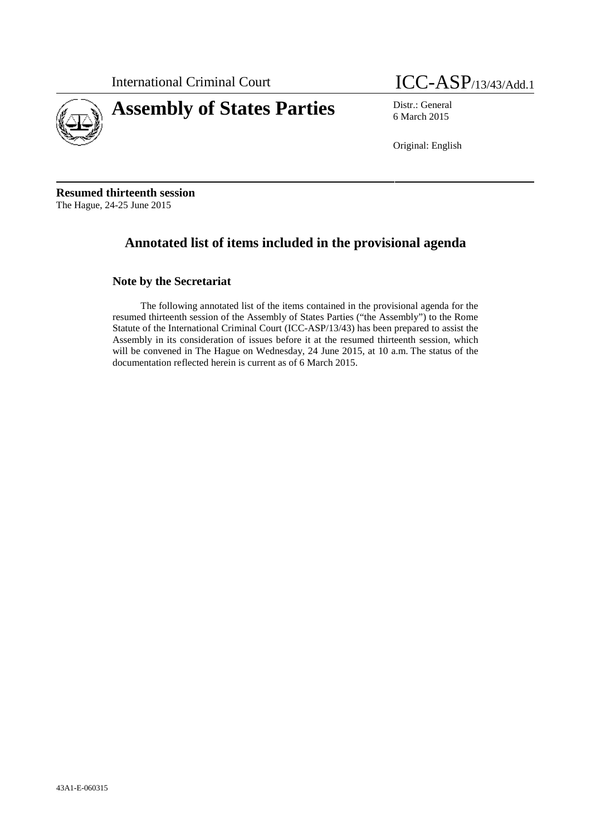

International Criminal Court **ICC-ASP**/13/43/Add.1

6 March 2015

Original: English

**Resumed thirteenth session** The Hague, 24-25 June 2015

# **Annotated list of items included in the provisional agenda**

# **Note by the Secretariat**

The following annotated list of the items contained in the provisional agenda for the resumed thirteenth session of the Assembly of States Parties ("the Assembly") to the Rome Statute of the International Criminal Court (ICC-ASP/13/43) has been prepared to assist the Assembly in its consideration of issues before it at the resumed thirteenth session, which will be convened in The Hague on Wednesday, 24 June 2015, at 10 a.m. The status of the documentation reflected herein is current as of 6 March 2015.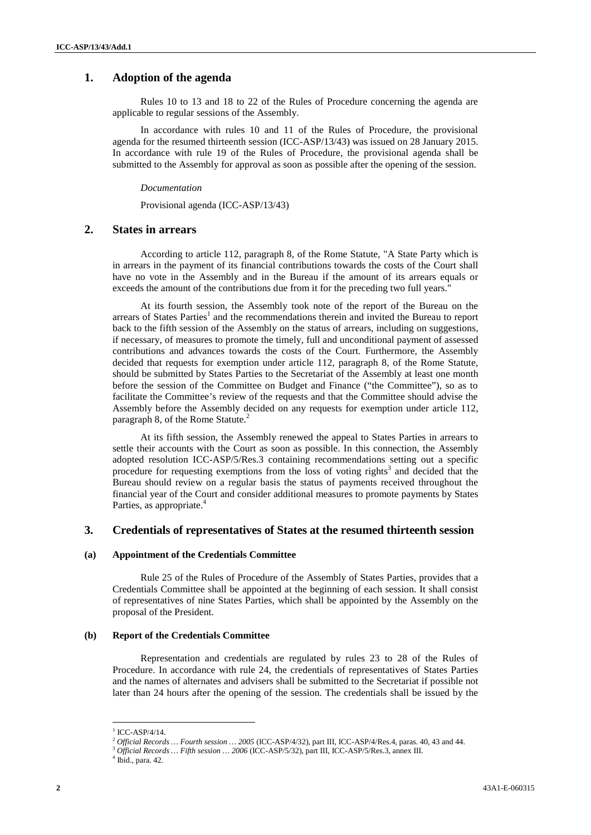# **1. Adoption of the agenda**

Rules 10 to 13 and 18 to 22 of the Rules of Procedure concerning the agenda are applicable to regular sessions of the Assembly.

In accordance with rules 10 and 11 of the Rules of Procedure, the provisional agenda for the resumed thirteenth session (ICC-ASP/13/43) was issued on 28 January 2015. In accordance with rule 19 of the Rules of Procedure, the provisional agenda shall be submitted to the Assembly for approval as soon as possible after the opening of the session.

### *Documentation*

Provisional agenda (ICC-ASP/13/43)

# **2. States in arrears**

According to article 112, paragraph 8, of the Rome Statute, "A State Party which is in arrears in the payment of its financial contributions towards the costs of the Court shall have no vote in the Assembly and in the Bureau if the amount of its arrears equals or exceeds the amount of the contributions due from it for the preceding two full years."

At its fourth session, the Assembly took note of the report of the Bureau on the arrears of States Parties<sup>1</sup> and the recommendations therein and invited the Bureau to report back to the fifth session of the Assembly on the status of arrears, including on suggestions, if necessary, of measures to promote the timely, full and unconditional payment of assessed contributions and advances towards the costs of the Court. Furthermore, the Assembly decided that requests for exemption under article 112, paragraph 8, of the Rome Statute, should be submitted by States Parties to the Secretariat of the Assembly at least one month before the session of the Committee on Budget and Finance ("the Committee"), so as to facilitate the Committee's review of the requests and that the Committee should advise the Assembly before the Assembly decided on any requests for exemption under article 112, paragraph 8, of the Rome Statute.<sup>2</sup>

At its fifth session, the Assembly renewed the appeal to States Parties in arrears to settle their accounts with the Court as soon as possible. In this connection, the Assembly adopted resolution ICC-ASP/5/Res.3 containing recommendations setting out a specific procedure for requesting exemptions from the loss of voting rights<sup>3</sup> and decided that the Bureau should review on a regular basis the status of payments received throughout the financial year of the Court and consider additional measures to promote payments by States Parties, as appropriate.<sup>4</sup>

### **3. Credentials of representatives of States at the resumed thirteenth session**

#### **(a) Appointment of the Credentials Committee**

Rule 25 of the Rules of Procedure of the Assembly of States Parties, provides that a Credentials Committee shall be appointed at the beginning of each session. It shall consist of representatives of nine States Parties, which shall be appointed by the Assembly on the proposal of the President.

#### **(b) Report of the Credentials Committee**

Representation and credentials are regulated by rules 23 to 28 of the Rules of Procedure. In accordance with rule 24, the credentials of representatives of States Parties and the names of alternates and advisers shall be submitted to the Secretariat if possible not later than 24 hours after the opening of the session. The credentials shall be issued by the

ICC-ASP/4/14.

<sup>&</sup>lt;sup>2</sup> Official Records ... Fourth session ... 2005 (ICC-ASP/4/32), part III, ICC-ASP/4/Res.4, paras. 40, 43 and 44.<br><sup>3</sup> Official Records ... Fifth session ... 2006 (ICC-ASP/5/32), part III, ICC-ASP/5/Res.3, annex III.<br><sup>4</sup> I